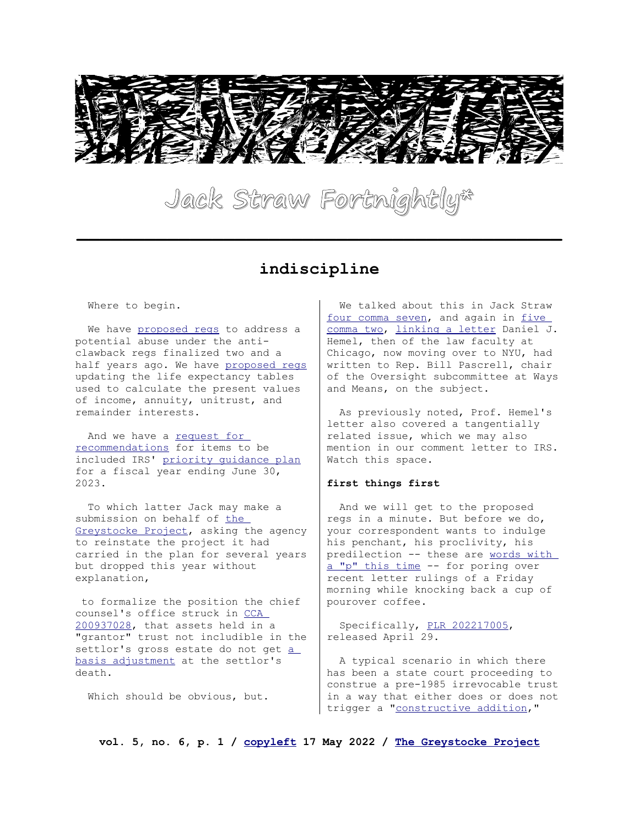

# **Jack Straw Fortnightly\***

**\_\_\_\_\_\_\_\_\_\_\_\_\_\_\_\_\_\_\_\_\_\_\_\_\_\_\_\_\_\_\_\_\_\_\_\_\_\_\_\_\_\_\_**

### **indiscipline**

Where to begin.

We have [proposed regs](https://www.federalregister.gov/documents/2022/04/27/2022-08865/estate-and-gift-taxes-limitation-on-the-special-rule-regarding-a-difference-in-the-basic-exclusion) to address a potential abuse under the anticlawback regs finalized two and a half years ago. We have [proposed regs](https://www.federalregister.gov/documents/2022/05/05/2022-02303/use-of-actuarial-tables-in-valuing-annuities-interests-for-life-or-a-term-of-years-and-remainder-or) updating the life expectancy tables used to calculate the present values of income, annuity, unitrust, and remainder interests.

And we have a request for [recommendations](https://www.irs.gov/pub/irs-drop/n-22-21.pdf) for items to be included IRS' [priority guidance plan](https://www.irs.gov/privacy-disclosure/priority-guidance-plan) for a fiscal year ending June 30, 2023.

 To which latter Jack may make a submission on behalf of the [Greystocke Project,](https://www.plannedgiftdesign.com/the-greystocke-project.html) asking the agency to reinstate the project it had carried in the plan for several years but dropped this year without explanation,

 to formalize the position the chief counsel's office struck in CCA [200937028,](https://www.irs.gov/pub/irs-wd/0937028.pdf) that assets held in a "grantor" trust not includible in the settlor's gross estate do not get a [basis adjustment](https://www.law.cornell.edu/uscode/text/26/1014#b_1) at the settlor's death.

Which should be obvious, but.

 We talked about this in Jack Straw [four comma seven,](https://www.plannedgiftdesign.com/uploads/2/4/6/6/24661337/volume_four_number_seven.pdf) and again in five [comma two,](https://www.plannedgiftdesign.com/uploads/2/4/6/6/24661337/volume_five_number_two.pdf) [linking a letter](https://papers.ssrn.com/sol3/papers.cfm?abstract_id=4024396) Daniel J. Hemel, then of the law faculty at Chicago, now moving over to NYU, had written to Rep. Bill Pascrell, chair of the Oversight subcommittee at Ways and Means, on the subject.

 As previously noted, Prof. Hemel's letter also covered a tangentially related issue, which we may also mention in our comment letter to IRS. Watch this space.

#### **first things first**

 And we will get to the proposed regs in a minute. But before we do, your correspondent wants to indulge his penchant, his proclivity, his predilection -- these are words with [a "p" this time](https://www.youtube.com/watch?v=RUUf-ruzLWg) -- for poring over recent letter rulings of a Friday morning while knocking back a cup of pourover coffee.

 Specifically, [PLR 202217005,](https://irs.gov/pub/irs-wd/202217005.pdf) released April 29.

 A typical scenario in which there has been a state court proceeding to construe a pre-1985 irrevocable trust in a way that either does or does not trigger a ["constructive addition,](https://www.law.cornell.edu/cfr/text/26/26.2601-1#b_1)"

**vol. 5, no. 6, p. 1 / [copyleft](https://creativecommons.org/licenses/by-sa/4.0/legalcode) 17 May 2022 / [The Greystocke Project](https://www.plannedgiftdesign.com/the-greystocke-project.html)**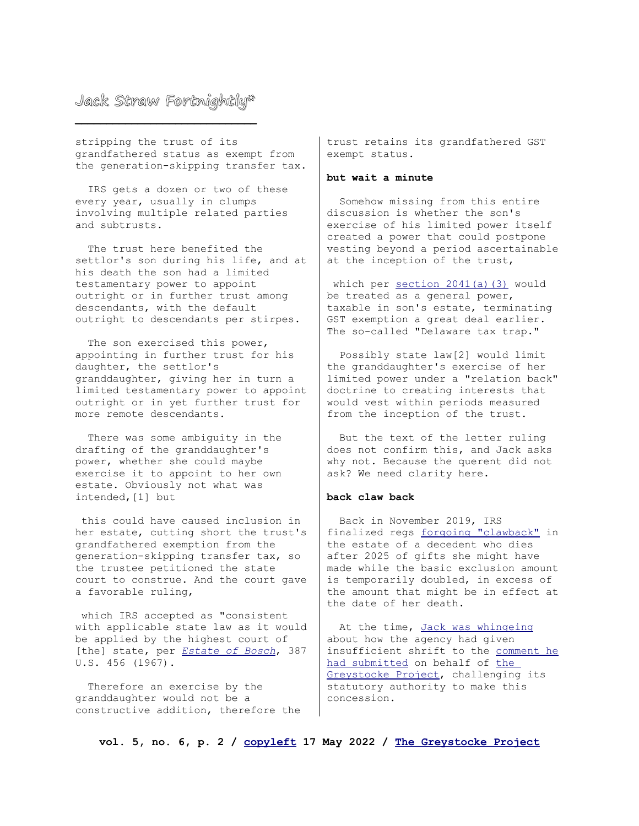stripping the trust of its grandfathered status as exempt from the generation-skipping transfer tax.

 IRS gets a dozen or two of these every year, usually in clumps involving multiple related parties and subtrusts.

 The trust here benefited the settlor's son during his life, and at his death the son had a limited testamentary power to appoint outright or in further trust among descendants, with the default outright to descendants per stirpes.

 The son exercised this power, appointing in further trust for his daughter, the settlor's granddaughter, giving her in turn a limited testamentary power to appoint outright or in yet further trust for more remote descendants.

 There was some ambiguity in the drafting of the granddaughter's power, whether she could maybe exercise it to appoint to her own estate. Obviously not what was intended,[1] but

 this could have caused inclusion in her estate, cutting short the trust's grandfathered exemption from the generation-skipping transfer tax, so the trustee petitioned the state court to construe. And the court gave a favorable ruling,

 which IRS accepted as "consistent with applicable state law as it would be applied by the highest court of [the] state, per *[Estate of Bosch](https://www.courtlistener.com/opinion/107471/commissioner-v-estate-of-bosch/)*, 387 U.S. 456 (1967).

 Therefore an exercise by the granddaughter would not be a constructive addition, therefore the

trust retains its grandfathered GST exempt status.

#### **but wait a minute**

 Somehow missing from this entire discussion is whether the son's exercise of his limited power itself created a power that could postpone vesting beyond a period ascertainable at the inception of the trust,

which per [section 2041\(a\)\(3\)](https://www.law.cornell.edu/uscode/text/26/2041#a_3) would be treated as a general power, taxable in son's estate, terminating GST exemption a great deal earlier. The so-called "Delaware tax trap."

 Possibly state law[2] would limit the granddaughter's exercise of her limited power under a "relation back" doctrine to creating interests that would vest within periods measured from the inception of the trust.

 But the text of the letter ruling does not confirm this, and Jack asks why not. Because the querent did not ask? We need clarity here.

#### **back claw back**

 Back in November 2019, IRS finalized regs [forgoing "clawback"](https://www.govinfo.gov/content/pkg/FR-2019-11-26/pdf/2019-25601.pdf) in the estate of a decedent who dies after 2025 of gifts she might have made while the basic exclusion amount is temporarily doubled, in excess of the amount that might be in effect at the date of her death.

 At the time, [Jack was whingeing](https://www.plannedgiftdesign.com/uploads/2/4/6/6/24661337/volume_two_number_fourteen.pdf) about how the agency had given insufficient shrift to the [comment he](https://www.plannedgiftdesign.com/uploads/2/4/6/6/24661337/greystocke_project_comment.pdf) [had submitted](https://www.plannedgiftdesign.com/uploads/2/4/6/6/24661337/greystocke_project_comment.pdf) on behalf of the [Greystocke Project,](https://www.plannedgiftdesign.com/the-greystocke-project.html) challenging its statutory authority to make this concession.

**vol. 5, no. 6, p. 2 / [copyleft](https://creativecommons.org/licenses/by-sa/4.0/legalcode) 17 May 2022 / [The Greystocke Project](https://www.plannedgiftdesign.com/the-greystocke-project.html)**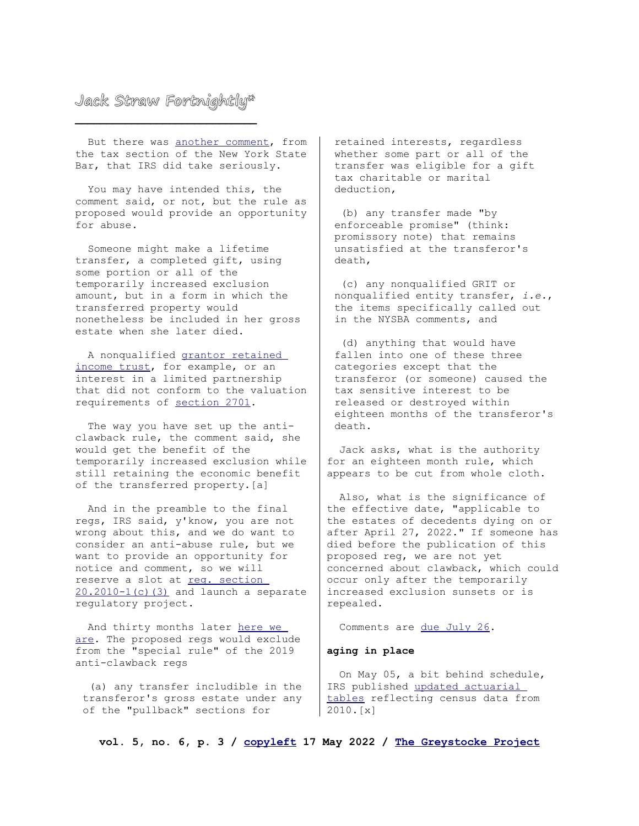But there was [another comment,](https://downloads.regulations.gov/IRS-2018-0037-0017/attachment_1.pdf) from the tax section of the New York State Bar, that IRS did take seriously.

 You may have intended this, the comment said, or not, but the rule as proposed would provide an opportunity for abuse.

 Someone might make a lifetime transfer, a completed gift, using some portion or all of the temporarily increased exclusion amount, but in a form in which the transferred property would nonetheless be included in her gross estate when she later died.

 A nonqualified [grantor retained](https://www.law.cornell.edu/uscode/text/26/2702#b)  [income trust,](https://www.law.cornell.edu/uscode/text/26/2702#b) for example, or an interest in a limited partnership that did not conform to the valuation requirements of [section 2701.](https://www.law.cornell.edu/uscode/text/26/2701)

 The way you have set up the anticlawback rule, the comment said, she would get the benefit of the temporarily increased exclusion while still retaining the economic benefit of the transferred property.[a]

 And in the preamble to the final regs, IRS said, y'know, you are not wrong about this, and we do want to consider an anti-abuse rule, but we want to provide an opportunity for notice and comment, so we will reserve a slot at reg. section  $20.2010-1(c)$  (3) and launch a separate regulatory project.

 And thirty months later [here we](https://www.federalregister.gov/documents/2022/04/27/2022-08865/estate-and-gift-taxes-limitation-on-the-special-rule-regarding-a-difference-in-the-basic-exclusion)  [are.](https://www.federalregister.gov/documents/2022/04/27/2022-08865/estate-and-gift-taxes-limitation-on-the-special-rule-regarding-a-difference-in-the-basic-exclusion) The proposed regs would exclude from the "special rule" of the 2019 anti-clawback regs

 (a) any transfer includible in the transferor's gross estate under any of the "pullback" sections for

retained interests, regardless whether some part or all of the transfer was eligible for a gift tax charitable or marital deduction,

 (b) any transfer made "by enforceable promise" (think: promissory note) that remains unsatisfied at the transferor's death,

 (c) any nonqualified GRIT or nonqualified entity transfer, *i.e.*, the items specifically called out in the NYSBA comments, and

 (d) anything that would have fallen into one of these three categories except that the transferor (or someone) caused the tax sensitive interest to be released or destroyed within eighteen months of the transferor's death.

 Jack asks, what is the authority for an eighteen month rule, which appears to be cut from whole cloth.

 Also, what is the significance of the effective date, "applicable to the estates of decedents dying on or after April 27, 2022." If someone has died before the publication of this proposed reg, we are not yet concerned about clawback, which could occur only after the temporarily increased exclusion sunsets or is repealed.

Comments are [due July 26.](https://www.regulations.gov/docket/IRS-2022-0008)

#### **aging in place**

 On May 05, a bit behind schedule, IRS published [updated actuarial](https://www.federalregister.gov/documents/2022/05/05/2022-02303/use-of-actuarial-tables-in-valuing-annuities-interests-for-life-or-a-term-of-years-and-remainder-or)  [tables](https://www.federalregister.gov/documents/2022/05/05/2022-02303/use-of-actuarial-tables-in-valuing-annuities-interests-for-life-or-a-term-of-years-and-remainder-or) reflecting census data from 2010.[x]

**vol. 5, no. 6, p. 3 / [copyleft](https://creativecommons.org/licenses/by-sa/4.0/legalcode) 17 May 2022 / [The Greystocke Project](https://www.plannedgiftdesign.com/the-greystocke-project.html)**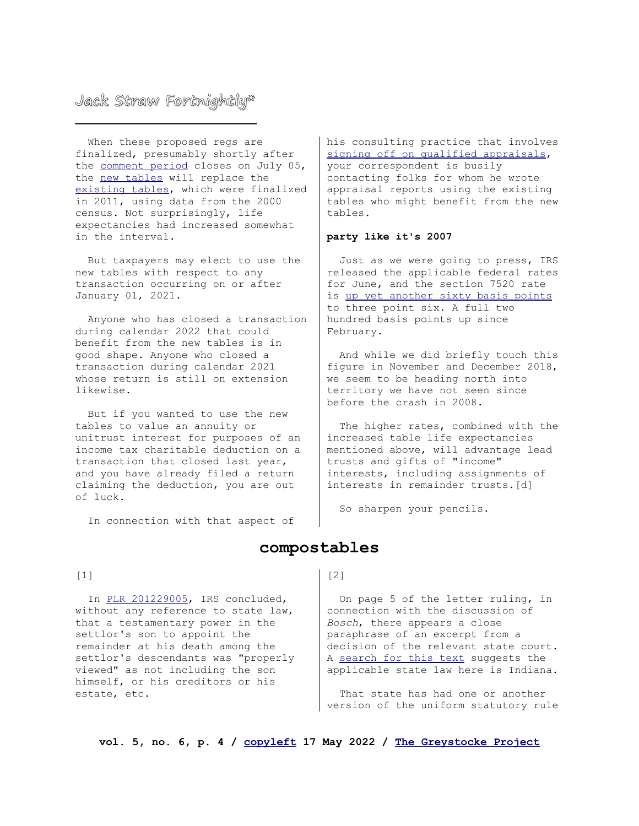When these proposed regs are finalized, presumably shortly after the [comment period](https://www.regulations.gov/document/IRS_FRDOC_0001-2046) closes on July 05, the [new tables](https://www.irs.gov/pub/irs-tege/table-2010cm-proposed.xlsx) will replace the [existing tables,](https://www.irs.gov/pub/irs-tege/table-2000cm.xls) which were finalized in 2011, using data from the 2000 census. Not surprisingly, life expectancies had increased somewhat in the interval.

 But taxpayers may elect to use the new tables with respect to any transaction occurring on or after January 01, 2021.

 Anyone who has closed a transaction during calendar 2022 that could benefit from the new tables is in good shape. Anyone who closed a transaction during calendar 2021 whose return is still on extension likewise.

 But if you wanted to use the new tables to value an annuity or unitrust interest for purposes of an income tax charitable deduction on a transaction that closed last year, and you have already filed a return claiming the deduction, you are out of luck.

In connection with that aspect of

his consulting practice that involves [signing off on qualified appraisals,](https://www.plannedgiftdesign.com/blog/role-playing-two) your correspondent is busily contacting folks for whom he wrote appraisal reports using the existing tables who might benefit from the new tables.

### **party like it's 2007**

 Just as we were going to press, IRS released the applicable federal rates for June, and the section 7520 rate is [up yet another sixty basis points](https://www.irs.gov/pub/irs-drop/rr-22-10.pdf) to three point six. A full two hundred basis points up since February.

 And while we did briefly touch this figure in November and December 2018, we seem to be heading north into territory we have not seen since before the crash in 2008.

 The higher rates, combined with the increased table life expectancies mentioned above, will advantage lead trusts and gifts of "income" interests, including assignments of interests in remainder trusts.[d]

So sharpen your pencils.

### **compostables**

#### $[1]$

In [PLR 201229005,](https://www.irs.gov/pub/irs-wd/1229005.pdf) IRS concluded, without any reference to state law, that a testamentary power in the settlor's son to appoint the remainder at his death among the settlor's descendants was "properly viewed" as not including the son himself, or his creditors or his estate, etc.

### [2]

 On page 5 of the letter ruling, in connection with the discussion of *Bosch*, there appears a close paraphrase of an excerpt from a decision of the relevant state court. A [search for this text](https://www.courtlistener.com/opinion/2226322/hauck-v-second-national-bank-of-richmond/) suggests the applicable state law here is Indiana.

 That state has had one or another version of the uniform statutory rule

**vol. 5, no. 6, p. 4 / [copyleft](https://creativecommons.org/licenses/by-sa/4.0/legalcode) 17 May 2022 / [The Greystocke Project](https://www.plannedgiftdesign.com/the-greystocke-project.html)**